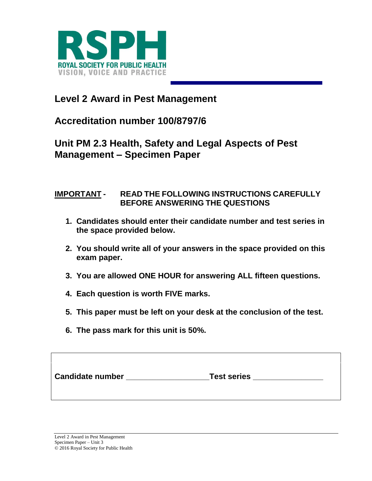

## **Level 2 Award in Pest Management**

**Accreditation number 100/8797/6**

## **Unit PM 2.3 Health, Safety and Legal Aspects of Pest Management – Specimen Paper**

## **IMPORTANT - READ THE FOLLOWING INSTRUCTIONS CAREFULLY BEFORE ANSWERING THE QUESTIONS**

- **1. Candidates should enter their candidate number and test series in the space provided below.**
- **2. You should write all of your answers in the space provided on this exam paper.**
- **3. You are allowed ONE HOUR for answering ALL fifteen questions.**
- **4. Each question is worth FIVE marks.**
- **5. This paper must be left on your desk at the conclusion of the test.**
- **6. The pass mark for this unit is 50%.**

| <b>Candidate number</b><br><b>Test series</b> |  |
|-----------------------------------------------|--|
|-----------------------------------------------|--|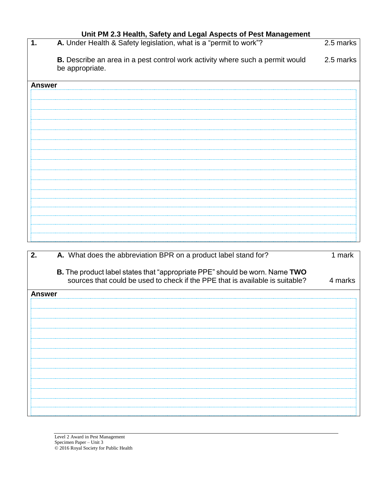| Unit PM 2.3 Health, Safety and Legal Aspects of Pest Management |                                                                                                         |           |  |
|-----------------------------------------------------------------|---------------------------------------------------------------------------------------------------------|-----------|--|
| 1.                                                              | A. Under Health & Safety legislation, what is a "permit to work"?                                       | 2.5 marks |  |
|                                                                 | <b>B.</b> Describe an area in a pest control work activity where such a permit would<br>be appropriate. | 2.5 marks |  |
| <b>Answer</b>                                                   |                                                                                                         |           |  |
|                                                                 |                                                                                                         |           |  |
|                                                                 |                                                                                                         |           |  |
|                                                                 |                                                                                                         |           |  |
|                                                                 |                                                                                                         |           |  |
|                                                                 |                                                                                                         |           |  |
|                                                                 |                                                                                                         |           |  |
|                                                                 |                                                                                                         |           |  |
|                                                                 |                                                                                                         |           |  |
|                                                                 |                                                                                                         |           |  |
|                                                                 |                                                                                                         |           |  |
|                                                                 |                                                                                                         |           |  |
|                                                                 |                                                                                                         |           |  |
|                                                                 |                                                                                                         |           |  |
|                                                                 |                                                                                                         |           |  |
|                                                                 |                                                                                                         |           |  |
|                                                                 |                                                                                                         |           |  |

| 2.<br>A. What does the abbreviation BPR on a product label stand for?                                                                                        | 1 mark  |
|--------------------------------------------------------------------------------------------------------------------------------------------------------------|---------|
| B. The product label states that "appropriate PPE" should be worn. Name TWO<br>sources that could be used to check if the PPE that is available is suitable? | 4 marks |
| <b>Answer</b>                                                                                                                                                |         |
|                                                                                                                                                              |         |
|                                                                                                                                                              |         |
|                                                                                                                                                              |         |
|                                                                                                                                                              |         |
|                                                                                                                                                              |         |
|                                                                                                                                                              |         |
|                                                                                                                                                              |         |
|                                                                                                                                                              |         |
|                                                                                                                                                              |         |
|                                                                                                                                                              |         |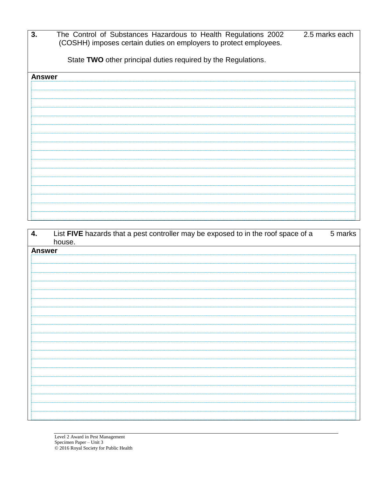| 3.            | The Control of Substances Hazardous to Health Regulations 2002<br>2.5 marks each<br>(COSHH) imposes certain duties on employers to protect employees. |
|---------------|-------------------------------------------------------------------------------------------------------------------------------------------------------|
|               |                                                                                                                                                       |
|               | State TWO other principal duties required by the Regulations.                                                                                         |
|               |                                                                                                                                                       |
| <b>Answer</b> |                                                                                                                                                       |
|               |                                                                                                                                                       |
|               |                                                                                                                                                       |
|               |                                                                                                                                                       |
|               |                                                                                                                                                       |
|               |                                                                                                                                                       |
|               |                                                                                                                                                       |
|               |                                                                                                                                                       |
|               |                                                                                                                                                       |
|               |                                                                                                                                                       |
|               |                                                                                                                                                       |
|               |                                                                                                                                                       |
|               |                                                                                                                                                       |
|               |                                                                                                                                                       |
|               |                                                                                                                                                       |
|               |                                                                                                                                                       |
|               |                                                                                                                                                       |

| 4.            | List FIVE hazards that a pest controller may be exposed to in the roof space of a | 5 marks |
|---------------|-----------------------------------------------------------------------------------|---------|
|               | house.                                                                            |         |
| <b>Answer</b> |                                                                                   |         |
|               |                                                                                   |         |
|               |                                                                                   |         |
|               |                                                                                   |         |
|               |                                                                                   |         |
|               |                                                                                   |         |
|               |                                                                                   |         |
|               |                                                                                   |         |
|               |                                                                                   |         |
|               |                                                                                   |         |
|               |                                                                                   |         |
|               |                                                                                   |         |
|               |                                                                                   |         |
|               |                                                                                   |         |
|               |                                                                                   |         |
|               |                                                                                   |         |
|               |                                                                                   |         |
|               |                                                                                   |         |
|               |                                                                                   |         |
|               |                                                                                   |         |
|               |                                                                                   |         |
|               |                                                                                   |         |
|               |                                                                                   |         |
|               |                                                                                   |         |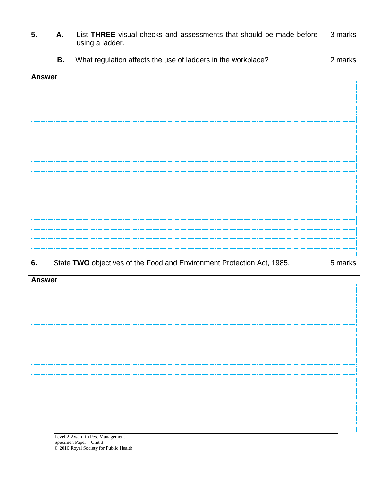| $\overline{5}$ . | <b>A.</b> | List THREE visual checks and assessments that should be made before<br>using a ladder. | 3 marks              |
|------------------|-----------|----------------------------------------------------------------------------------------|----------------------|
|                  | <b>B.</b> | What regulation affects the use of ladders in the workplace?                           | 2 marks              |
| <b>Answer</b>    |           |                                                                                        |                      |
|                  |           |                                                                                        |                      |
|                  |           |                                                                                        |                      |
|                  |           |                                                                                        |                      |
|                  |           |                                                                                        |                      |
|                  |           |                                                                                        |                      |
|                  |           |                                                                                        |                      |
|                  |           |                                                                                        |                      |
|                  |           |                                                                                        |                      |
|                  |           |                                                                                        |                      |
|                  |           |                                                                                        |                      |
|                  |           |                                                                                        |                      |
| 6.               |           | State TWO objectives of the Food and Environment Protection Act, 1985.                 | $\overline{5}$ marks |
| <b>Answer</b>    |           |                                                                                        |                      |
|                  |           |                                                                                        |                      |
|                  |           |                                                                                        |                      |
|                  |           |                                                                                        |                      |
|                  |           |                                                                                        |                      |
|                  |           |                                                                                        |                      |
|                  |           |                                                                                        |                      |
|                  |           |                                                                                        |                      |
|                  |           |                                                                                        |                      |
|                  |           |                                                                                        |                      |
|                  |           |                                                                                        |                      |

Level 2 Award in Pest Management Specimen Paper – Unit 3 © 2016 Royal Society for Public Health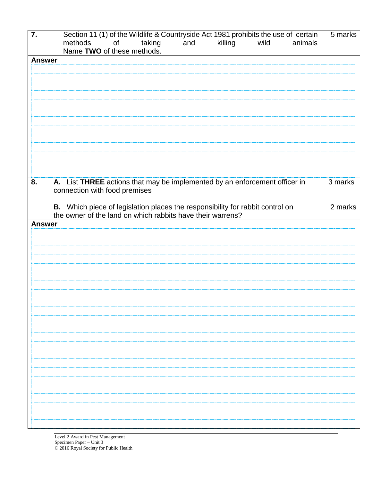| 7.            | Section 11 (1) of the Wildlife & Countryside Act 1981 prohibits the use of certain<br>of<br>taking<br>methods<br>and<br>killing<br>wild<br>animals<br>Name TWO of these methods. | 5 marks |
|---------------|----------------------------------------------------------------------------------------------------------------------------------------------------------------------------------|---------|
| <b>Answer</b> |                                                                                                                                                                                  |         |
|               |                                                                                                                                                                                  |         |
|               |                                                                                                                                                                                  |         |
|               |                                                                                                                                                                                  |         |
|               |                                                                                                                                                                                  |         |
|               |                                                                                                                                                                                  |         |
|               |                                                                                                                                                                                  |         |
|               |                                                                                                                                                                                  |         |
|               |                                                                                                                                                                                  |         |
|               |                                                                                                                                                                                  |         |
|               |                                                                                                                                                                                  |         |
|               |                                                                                                                                                                                  |         |
|               |                                                                                                                                                                                  |         |
|               |                                                                                                                                                                                  |         |
| 8.            | A. List THREE actions that may be implemented by an enforcement officer in                                                                                                       | 3 marks |
|               | connection with food premises                                                                                                                                                    |         |
|               |                                                                                                                                                                                  |         |
|               | B. Which piece of legislation places the responsibility for rabbit control on                                                                                                    | 2 marks |
|               | the owner of the land on which rabbits have their warrens?                                                                                                                       |         |
| <b>Answer</b> |                                                                                                                                                                                  |         |
|               |                                                                                                                                                                                  |         |
|               |                                                                                                                                                                                  |         |
|               |                                                                                                                                                                                  |         |
|               |                                                                                                                                                                                  |         |
|               |                                                                                                                                                                                  |         |
|               |                                                                                                                                                                                  |         |
|               |                                                                                                                                                                                  |         |
|               |                                                                                                                                                                                  |         |
|               |                                                                                                                                                                                  |         |
|               |                                                                                                                                                                                  |         |
|               |                                                                                                                                                                                  |         |
|               |                                                                                                                                                                                  |         |
|               |                                                                                                                                                                                  |         |
|               |                                                                                                                                                                                  |         |
|               |                                                                                                                                                                                  |         |
|               |                                                                                                                                                                                  |         |
|               |                                                                                                                                                                                  |         |
|               |                                                                                                                                                                                  |         |
|               |                                                                                                                                                                                  |         |
|               |                                                                                                                                                                                  |         |
|               |                                                                                                                                                                                  |         |
|               |                                                                                                                                                                                  |         |
|               |                                                                                                                                                                                  |         |

Level 2 Award in Pest Management Specimen Paper – Unit 3 © 2016 Royal Society for Public Health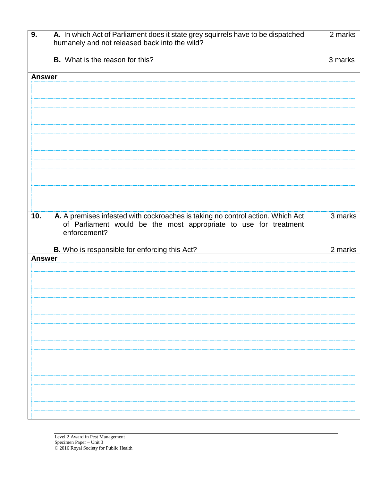| 9.            | A. In which Act of Parliament does it state grey squirrels have to be dispatched<br>humanely and not released back into the wild?                                  | 2 marks |
|---------------|--------------------------------------------------------------------------------------------------------------------------------------------------------------------|---------|
|               | <b>B.</b> What is the reason for this?                                                                                                                             | 3 marks |
| <b>Answer</b> |                                                                                                                                                                    |         |
|               |                                                                                                                                                                    |         |
|               |                                                                                                                                                                    |         |
|               |                                                                                                                                                                    |         |
|               |                                                                                                                                                                    |         |
|               |                                                                                                                                                                    |         |
|               |                                                                                                                                                                    |         |
|               |                                                                                                                                                                    |         |
| 10.           | A. A premises infested with cockroaches is taking no control action. Which Act<br>of Parliament would be the most appropriate to use for treatment<br>enforcement? | 3 marks |
|               | B. Who is responsible for enforcing this Act?                                                                                                                      | 2 marks |
| <b>Answer</b> |                                                                                                                                                                    |         |
|               |                                                                                                                                                                    |         |
|               |                                                                                                                                                                    |         |
|               |                                                                                                                                                                    |         |
|               |                                                                                                                                                                    |         |
|               |                                                                                                                                                                    |         |
|               |                                                                                                                                                                    |         |
|               |                                                                                                                                                                    |         |
|               |                                                                                                                                                                    |         |
|               |                                                                                                                                                                    |         |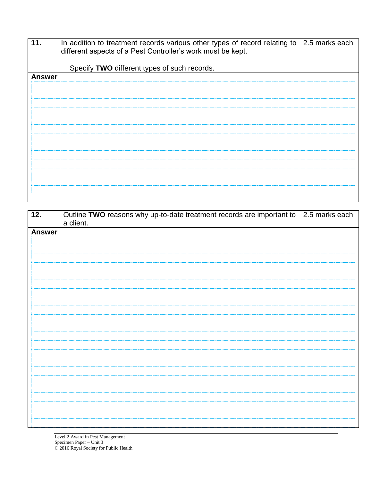| 11. | In addition to treatment records various other types of record relating to 2.5 marks each |  |
|-----|-------------------------------------------------------------------------------------------|--|
|     | different aspects of a Pest Controller's work must be kept.                               |  |

Specify **TWO** different types of such records. **Answer**

| 12.           | Outline TWO reasons why up-to-date treatment records are important to 2.5 marks each |  |
|---------------|--------------------------------------------------------------------------------------|--|
|               | a client.                                                                            |  |
| <b>Answer</b> |                                                                                      |  |
|               |                                                                                      |  |
|               |                                                                                      |  |
|               |                                                                                      |  |
|               |                                                                                      |  |
|               |                                                                                      |  |
|               |                                                                                      |  |
|               |                                                                                      |  |
|               |                                                                                      |  |
|               |                                                                                      |  |
|               |                                                                                      |  |
|               |                                                                                      |  |
|               |                                                                                      |  |
|               |                                                                                      |  |
|               |                                                                                      |  |
|               |                                                                                      |  |
|               |                                                                                      |  |
|               |                                                                                      |  |
|               |                                                                                      |  |
|               |                                                                                      |  |
|               |                                                                                      |  |
|               |                                                                                      |  |
|               |                                                                                      |  |
|               |                                                                                      |  |
|               |                                                                                      |  |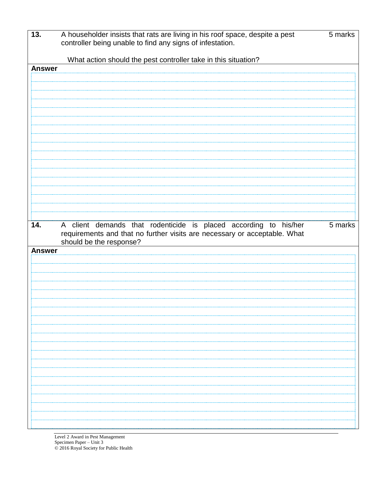| 13.           | A householder insists that rats are living in his roof space, despite a pest<br>controller being unable to find any signs of infestation.     | 5 marks |
|---------------|-----------------------------------------------------------------------------------------------------------------------------------------------|---------|
|               | What action should the pest controller take in this situation?                                                                                |         |
| <b>Answer</b> |                                                                                                                                               |         |
|               |                                                                                                                                               |         |
|               |                                                                                                                                               |         |
|               |                                                                                                                                               |         |
|               |                                                                                                                                               |         |
|               |                                                                                                                                               |         |
|               |                                                                                                                                               |         |
|               |                                                                                                                                               |         |
|               |                                                                                                                                               |         |
|               |                                                                                                                                               |         |
|               |                                                                                                                                               |         |
|               |                                                                                                                                               |         |
|               |                                                                                                                                               |         |
|               |                                                                                                                                               |         |
|               |                                                                                                                                               |         |
|               |                                                                                                                                               |         |
| 14.           | A client demands that rodenticide is placed according to his/her<br>requirements and that no further visits are necessary or acceptable. What | 5 marks |
|               | should be the response?                                                                                                                       |         |
| <b>Answer</b> |                                                                                                                                               |         |
|               |                                                                                                                                               |         |
|               |                                                                                                                                               |         |
|               |                                                                                                                                               |         |
|               |                                                                                                                                               |         |
|               |                                                                                                                                               |         |
|               |                                                                                                                                               |         |
|               |                                                                                                                                               |         |
|               |                                                                                                                                               |         |
|               |                                                                                                                                               |         |
|               |                                                                                                                                               |         |
|               |                                                                                                                                               |         |
|               |                                                                                                                                               |         |
|               |                                                                                                                                               |         |
|               |                                                                                                                                               |         |
|               |                                                                                                                                               |         |
|               |                                                                                                                                               |         |
|               |                                                                                                                                               |         |
|               |                                                                                                                                               |         |